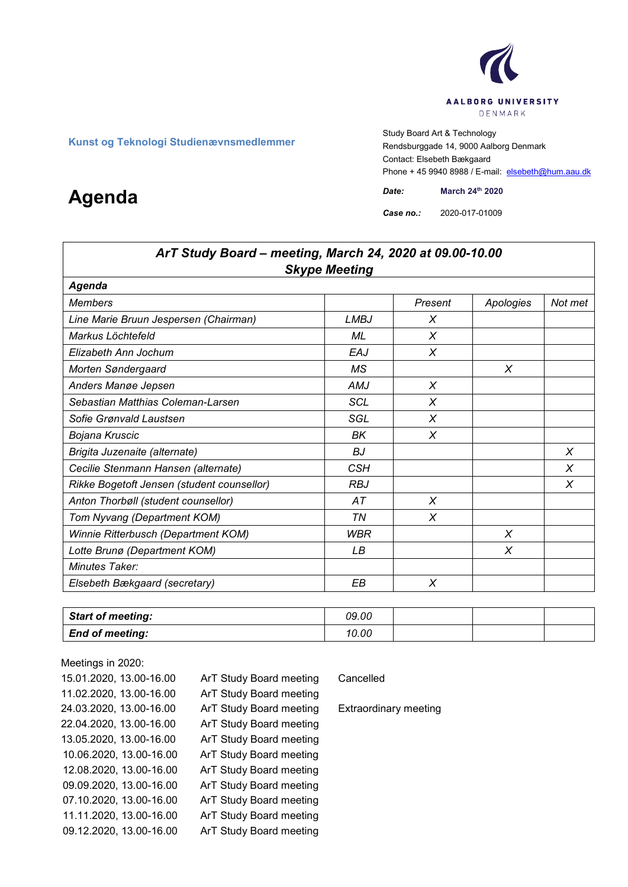

**Kunst og Teknologi Studienævnsmedlemmer**<br>Engelskunst og Teknologi Studienævnsmedlemmer<br>Boadsburgade 14, 9000 Aalb Rendsburggade 14, 9000 Aalborg Denmark Contact: Elsebeth Bækgaard Phone + 45 9940 8988 / E-mail: elsebeth@hum.aau.dk

*Case no.:* 2020-017-01009

| ArT Study Board - meeting, March 24, 2020 at 09.00-10.00 |                      |         |           |          |  |
|----------------------------------------------------------|----------------------|---------|-----------|----------|--|
|                                                          | <b>Skype Meeting</b> |         |           |          |  |
| Agenda                                                   |                      |         |           |          |  |
| <b>Members</b>                                           |                      | Present | Apologies | Not met  |  |
| Line Marie Bruun Jespersen (Chairman)                    | <b>LMBJ</b>          | X       |           |          |  |
| Markus Löchtefeld                                        | ML                   | X       |           |          |  |
| Elizabeth Ann Jochum                                     | <b>EAJ</b>           | X       |           |          |  |
| Morten Søndergaard                                       | МS                   |         | X         |          |  |
| Anders Mange Jepsen                                      | AMJ                  | X       |           |          |  |
| Sebastian Matthias Coleman-Larsen                        | <b>SCL</b>           | X       |           |          |  |
| Sofie Grønvald Laustsen                                  | SGL                  | X       |           |          |  |
| Bojana Kruscic                                           | ΒK                   | X       |           |          |  |
| Brigita Juzenaite (alternate)                            | BJ                   |         |           | $\times$ |  |
| Cecilie Stenmann Hansen (alternate)                      | <b>CSH</b>           |         |           | X        |  |
| Rikke Bogetoft Jensen (student counsellor)               | <b>RBJ</b>           |         |           | X        |  |
| Anton Thorbøll (student counsellor)                      | АT                   | X       |           |          |  |
| Tom Nyvang (Department KOM)                              | TN                   | X       |           |          |  |
| Winnie Ritterbusch (Department KOM)                      | WBR                  |         | X         |          |  |
| Lotte Brunø (Department KOM)                             | LВ                   |         | X         |          |  |
| Minutes Taker:                                           |                      |         |           |          |  |
| Elsebeth Bækgaard (secretary)                            | EВ                   | X       |           |          |  |

| <b>Start of meeting:</b> | 09.00 |  |  |
|--------------------------|-------|--|--|
| <b>End of meeting:</b>   | 10.00 |  |  |

Meetings in 2020: 15.01.2020, 13.00-16.00 ArT Study Board meeting Cancelled 11.02.2020, 13.00-16.00 ArT Study Board meeting 24.03.2020, 13.00-16.00 ArT Study Board meeting Extraordinary meeting 22.04.2020, 13.00-16.00 ArT Study Board meeting 13.05.2020, 13.00-16.00 ArT Study Board meeting 10.06.2020, 13.00-16.00 ArT Study Board meeting 12.08.2020, 13.00-16.00 ArT Study Board meeting 09.09.2020, 13.00-16.00 ArT Study Board meeting 07.10.2020, 13.00-16.00 ArT Study Board meeting 11.11.2020, 13.00-16.00 ArT Study Board meeting 09.12.2020, 13.00-16.00 ArT Study Board meeting

## **Agenda** *Date: Date: March* 24<sup>th</sup> 2020<br> *Case no.:* 2020-017-01009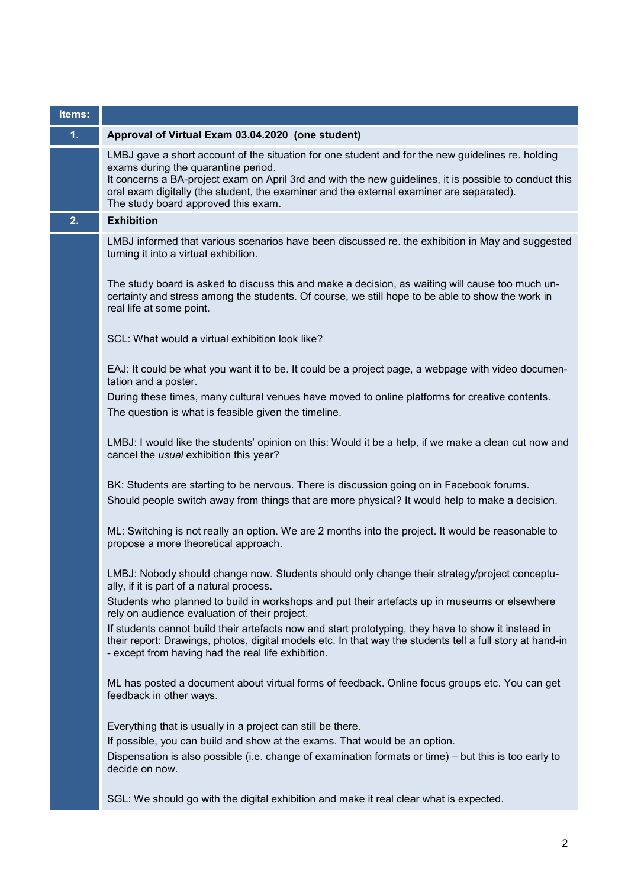| Items: |                                                                                                                                                                                                                                                                        |
|--------|------------------------------------------------------------------------------------------------------------------------------------------------------------------------------------------------------------------------------------------------------------------------|
| 1.     | Approval of Virtual Exam 03.04.2020 (one student)                                                                                                                                                                                                                      |
|        | LMBJ gave a short account of the situation for one student and for the new guidelines re. holding<br>exams during the quarantine period.                                                                                                                               |
|        | It concerns a BA-project exam on April 3rd and with the new guidelines, it is possible to conduct this<br>oral exam digitally (the student, the examiner and the external examiner are separated).<br>The study board approved this exam.                              |
| 2.     | <b>Exhibition</b>                                                                                                                                                                                                                                                      |
|        | LMBJ informed that various scenarios have been discussed re. the exhibition in May and suggested<br>turning it into a virtual exhibition.                                                                                                                              |
|        | The study board is asked to discuss this and make a decision, as waiting will cause too much un-<br>certainty and stress among the students. Of course, we still hope to be able to show the work in<br>real life at some point.                                       |
|        | SCL: What would a virtual exhibition look like?                                                                                                                                                                                                                        |
|        | EAJ: It could be what you want it to be. It could be a project page, a webpage with video documen-<br>tation and a poster.                                                                                                                                             |
|        | During these times, many cultural venues have moved to online platforms for creative contents.<br>The question is what is feasible given the timeline.                                                                                                                 |
|        | LMBJ: I would like the students' opinion on this: Would it be a help, if we make a clean cut now and<br>cancel the usual exhibition this year?                                                                                                                         |
|        | BK: Students are starting to be nervous. There is discussion going on in Facebook forums.<br>Should people switch away from things that are more physical? It would help to make a decision.                                                                           |
|        | ML: Switching is not really an option. We are 2 months into the project. It would be reasonable to<br>propose a more theoretical approach.                                                                                                                             |
|        | LMBJ: Nobody should change now. Students should only change their strategy/project conceptu-<br>ally, if it is part of a natural process.                                                                                                                              |
|        | Students who planned to build in workshops and put their artefacts up in museums or elsewhere<br>rely on audience evaluation of their project.                                                                                                                         |
|        | If students cannot build their artefacts now and start prototyping, they have to show it instead in<br>their report: Drawings, photos, digital models etc. In that way the students tell a full story at hand-in<br>- except from having had the real life exhibition. |
|        | ML has posted a document about virtual forms of feedback. Online focus groups etc. You can get<br>feedback in other ways.                                                                                                                                              |
|        | Everything that is usually in a project can still be there.                                                                                                                                                                                                            |
|        | If possible, you can build and show at the exams. That would be an option.                                                                                                                                                                                             |
|        | Dispensation is also possible (i.e. change of examination formats or time) – but this is too early to<br>decide on now.                                                                                                                                                |
|        | SGL: We should go with the digital exhibition and make it real clear what is expected.                                                                                                                                                                                 |
|        |                                                                                                                                                                                                                                                                        |